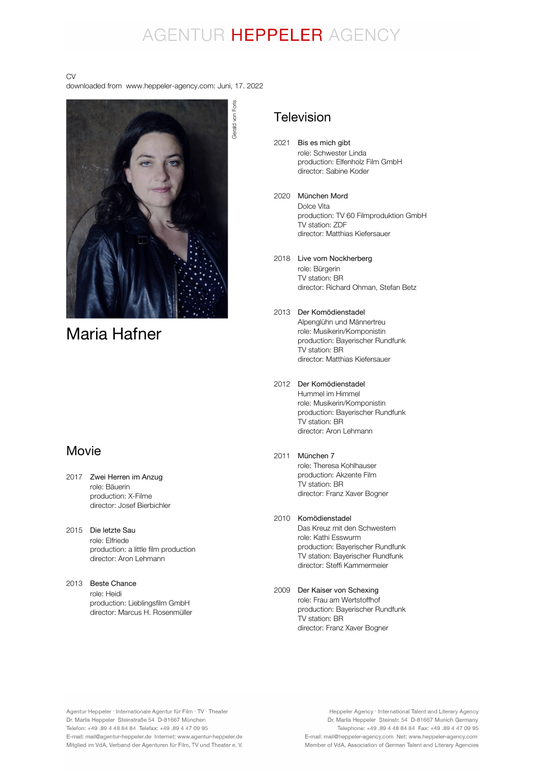# AGENTUR HEPPELER AGENCY

#### CV

downloaded from www.heppeler-agency.com: Juni, 17. 2022



## Maria Hafner

## Movie

- 2017 Zwei Herren im Anzug role: Bäuerin production: X-Filme director: Josef Bierbichler
- 2015 Die letzte Sau role: Elfriede production: a little film production director: Aron Lehmann
- 2013 Beste Chance role: Heidi production: Lieblingsfilm GmbH director: Marcus H. Rosenmüller

Gerald von Foris Gerald von Foris

## Television

- 2021 Bis es mich gibt role: Schwester Linda production: Elfenholz Film GmbH director: Sabine Koder
- 2020 München Mord Dolce Vita production: TV 60 Filmproduktion GmbH TV station: ZDF director: Matthias Kiefersauer
- 2018 Live vom Nockherberg role: Bürgerin TV station: BR director: Richard Ohman, Stefan Betz
- 2013 Der Komödienstadel Alpenglühn und Männertreu role: Musikerin/Komponistin production: Bayerischer Rundfunk TV station: BR director: Matthias Kiefersauer
- 2012 Der Komödienstadel Hummel im Himmel role: Musikerin/Komponistin production: Bayerischer Rundfunk TV station: BR director: Aron Lehmann

#### 2011 München 7

role: Theresa Kohlhauser production: Akzente Film TV station: BR director: Franz Xaver Bogner

#### 2010 Komödienstadel

Das Kreuz mit den Schwestern role: Kathi Esswurm production: Bayerischer Rundfunk TV station: Bayerischer Rundfunk director: Steffi Kammermeier

2009 Der Kaiser von Schexingrole: Frau am Wertstoffhof production: Bayerischer Rundfunk .<br>TV station: BR director: Franz Xaver Bogner